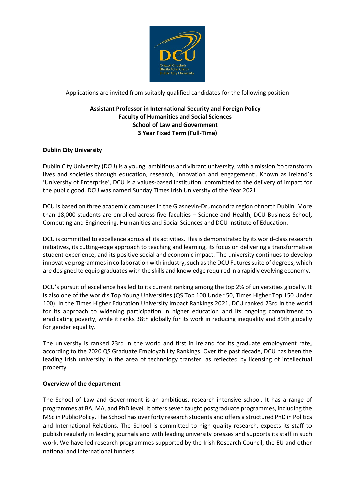

Applications are invited from suitably qualified candidates for the following position

# **Assistant Professor in International Security and Foreign Policy Faculty of Humanities and Social Sciences School of Law and Government 3 Year Fixed Term (Full-Time)**

# **Dublin City University**

Dublin City University (DCU) is a young, ambitious and vibrant university, with a mission 'to transform lives and societies through education, research, innovation and engagement'. Known as Ireland's 'University of Enterprise', DCU is a values-based institution, committed to the delivery of impact for the public good. DCU was named Sunday Times Irish University of the Year 2021.

DCU is based on three academic campuses in the Glasnevin-Drumcondra region of north Dublin. More than 18,000 students are enrolled across five faculties – Science and Health, DCU Business School, Computing and Engineering, Humanities and Social Sciences and DCU Institute of Education.

DCU is committed to excellence across all its activities. This is demonstrated by its world-class research initiatives, its cutting-edge approach to teaching and learning, its focus on delivering a transformative student experience, and its positive social and economic impact. The university continues to develop innovative programmes in collaboration with industry, such as the DCU Futures suite of degrees, which are designed to equip graduates with the skills and knowledge required in a rapidly evolving economy.

DCU's pursuit of excellence has led to its current ranking among the top 2% of universities globally. It is also one of the world's Top Young Universities (QS Top 100 Under 50, Times Higher Top 150 Under 100). In the Times Higher Education University Impact Rankings 2021, DCU ranked 23rd in the world for its approach to widening participation in higher education and its ongoing commitment to eradicating poverty, while it ranks 38th globally for its work in reducing inequality and 89th globally for gender equality.

The university is ranked 23rd in the world and first in Ireland for its graduate employment rate, according to the 2020 QS Graduate Employability Rankings. Over the past decade, DCU has been the leading Irish university in the area of technology transfer, as reflected by licensing of intellectual property.

#### **Overview of the department**

The School of Law and Government is an ambitious, research-intensive school. It has a range of programmes at BA, MA, and PhD level. It offers seven taught postgraduate programmes, including the MSc in Public Policy. The School has over forty research students and offers a structured PhD in Politics and International Relations. The School is committed to high quality research, expects its staff to publish regularly in leading journals and with leading university presses and supports its staff in such work. We have led research programmes supported by the Irish Research Council, the EU and other national and international funders.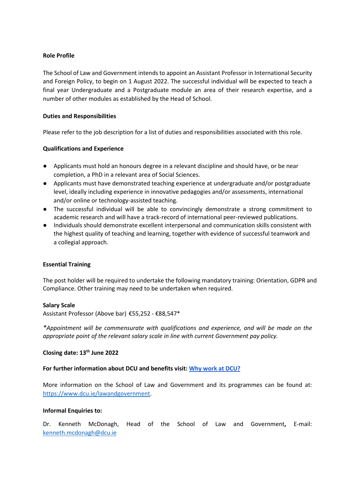#### **Role Profile**

The School of Law and Government intends to appoint an Assistant Professor in International Security and Foreign Policy, to begin on 1 August 2022. The successful individual will be expected to teach a final year Undergraduate and a Postgraduate module an area of their research expertise, and a number of other modules as established by the Head of School.

### **Duties and Responsibilities**

Please refer to the job description for a list of duties and responsibilities associated with this role.

### **Qualifications and Experience**

- Applicants must hold an honours degree in a relevant discipline and should have, or be near completion, a PhD in a relevant area of Social Sciences.
- Applicants must have demonstrated teaching experience at undergraduate and/or postgraduate level, ideally including experience in innovative pedagogies and/or assessments, international and/or online or technology-assisted teaching.
- The successful individual will be able to convincingly demonstrate a strong commitment to academic research and will have a track-record of international peer-reviewed publications.
- Individuals should demonstrate excellent interpersonal and communication skills consistent with the highest quality of teaching and learning, together with evidence of successful teamwork and a collegial approach.

#### **Essential Training**

The post holder will be required to undertake the following mandatory training: Orientation, GDPR and Compliance. Other training may need to be undertaken when required.

#### **Salary Scale**

Assistant Professor (Above bar) €55,252 - €88,547\*

*\*Appointment will be commensurate with qualifications and experience, and will be made on the appropriate point of the relevant salary scale in line with current Government pay policy.*

# **Closing date: 13th June 2022**

### **For further information about DCU and benefits visit[:](https://www.dcu.ie/hr/why-work-dcu) [Why work at DCU?](https://www.dcu.ie/hr/why-work-dcu)**

More information on the School of Law and Government and its programmes can be found at: [https://www.dcu.ie/lawandgovernment.](https://www.dcu.ie/lawandgovernment)

#### **Informal Enquiries to:**

Dr. Kenneth McDonagh, Head of the School of Law and Government**,** E-mail: [kenneth.mcdonagh@dcu.ie](mailto:kenneth.mcdonagh@dcu.ie)